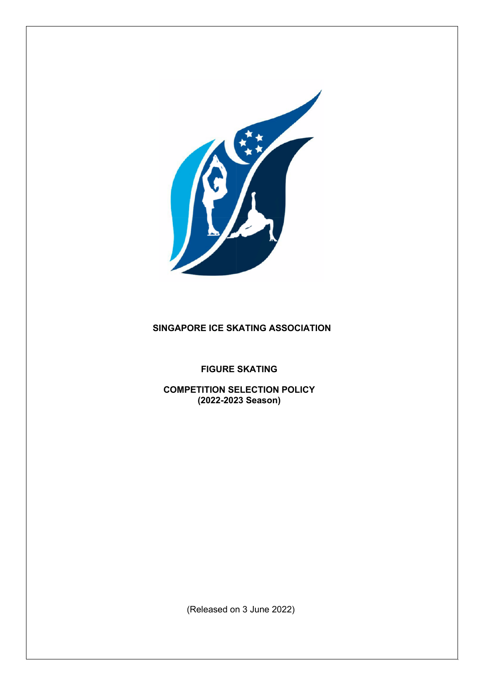

# **SINGAPORE ICE SKATING ASSOCIATION**

**FIGURE SKATING**

**COMPETITION SELECTION POLICY (2022-2023 Season)**

(Released on 3 June 2022)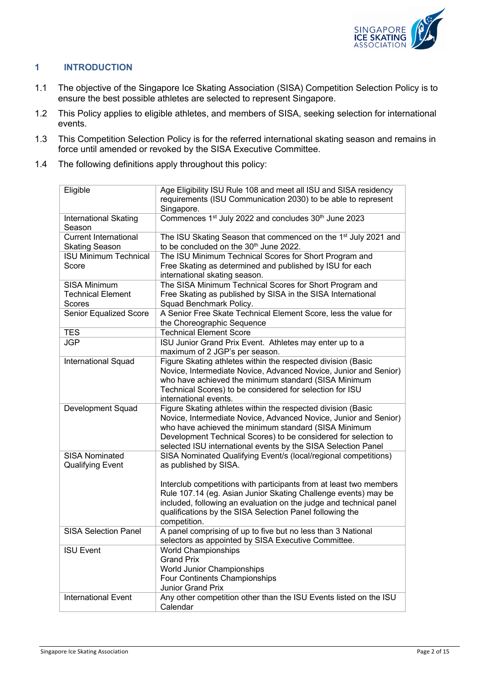

# **1 INTRODUCTION**

- 1.1 The objective of the Singapore Ice Skating Association (SISA) Competition Selection Policy is to ensure the best possible athletes are selected to represent Singapore.
- 1.2 This Policy applies to eligible athletes, and members of SISA, seeking selection for international events.
- 1.3 This Competition Selection Policy is for the referred international skating season and remains in force until amended or revoked by the SISA Executive Committee.
- 1.4 The following definitions apply throughout this policy:

| Eligible                                                  | Age Eligibility ISU Rule 108 and meet all ISU and SISA residency<br>requirements (ISU Communication 2030) to be able to represent<br>Singapore.                                                                                                                                                                              |
|-----------------------------------------------------------|------------------------------------------------------------------------------------------------------------------------------------------------------------------------------------------------------------------------------------------------------------------------------------------------------------------------------|
| <b>International Skating</b><br>Season                    | Commences 1 <sup>st</sup> July 2022 and concludes 30 <sup>th</sup> June 2023                                                                                                                                                                                                                                                 |
| <b>Current International</b><br><b>Skating Season</b>     | The ISU Skating Season that commenced on the 1 <sup>st</sup> July 2021 and<br>to be concluded on the 30 <sup>th</sup> June 2022.                                                                                                                                                                                             |
| <b>ISU Minimum Technical</b><br>Score                     | The ISU Minimum Technical Scores for Short Program and<br>Free Skating as determined and published by ISU for each<br>international skating season.                                                                                                                                                                          |
| SISA Minimum<br><b>Technical Element</b><br><b>Scores</b> | The SISA Minimum Technical Scores for Short Program and<br>Free Skating as published by SISA in the SISA International<br>Squad Benchmark Policy.                                                                                                                                                                            |
| Senior Equalized Score                                    | A Senior Free Skate Technical Element Score, less the value for<br>the Choreographic Sequence                                                                                                                                                                                                                                |
| <b>TES</b>                                                | <b>Technical Element Score</b>                                                                                                                                                                                                                                                                                               |
| <b>JGP</b>                                                | ISU Junior Grand Prix Event. Athletes may enter up to a<br>maximum of 2 JGP's per season.                                                                                                                                                                                                                                    |
| International Squad                                       | Figure Skating athletes within the respected division (Basic<br>Novice, Intermediate Novice, Advanced Novice, Junior and Senior)<br>who have achieved the minimum standard (SISA Minimum<br>Technical Scores) to be considered for selection for ISU<br>international events.                                                |
| Development Squad                                         | Figure Skating athletes within the respected division (Basic<br>Novice, Intermediate Novice, Advanced Novice, Junior and Senior)<br>who have achieved the minimum standard (SISA Minimum<br>Development Technical Scores) to be considered for selection to<br>selected ISU international events by the SISA Selection Panel |
| <b>SISA Nominated</b><br><b>Qualifying Event</b>          | SISA Nominated Qualifying Event/s (local/regional competitions)<br>as published by SISA.                                                                                                                                                                                                                                     |
|                                                           | Interclub competitions with participants from at least two members<br>Rule 107.14 (eg. Asian Junior Skating Challenge events) may be<br>included, following an evaluation on the judge and technical panel<br>qualifications by the SISA Selection Panel following the<br>competition.                                       |
| <b>SISA Selection Panel</b>                               | A panel comprising of up to five but no less than 3 National<br>selectors as appointed by SISA Executive Committee.                                                                                                                                                                                                          |
| <b>ISU Event</b>                                          | World Championships<br><b>Grand Prix</b><br>World Junior Championships<br>Four Continents Championships<br>Junior Grand Prix                                                                                                                                                                                                 |
| <b>International Event</b>                                | Any other competition other than the ISU Events listed on the ISU<br>Calendar                                                                                                                                                                                                                                                |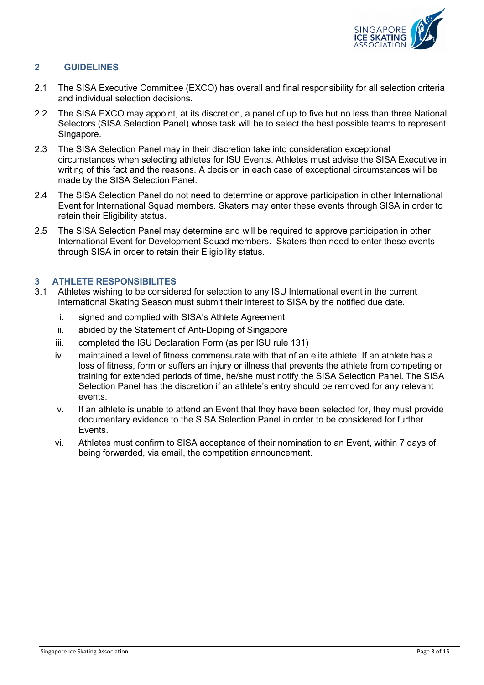

## **2 GUIDELINES**

- 2.1 The SISA Executive Committee (EXCO) has overall and final responsibility for all selection criteria and individual selection decisions.
- 2.2 The SISA EXCO may appoint, at its discretion, a panel of up to five but no less than three National Selectors (SISA Selection Panel) whose task will be to select the best possible teams to represent Singapore.
- 2.3 The SISA Selection Panel may in their discretion take into consideration exceptional circumstances when selecting athletes for ISU Events. Athletes must advise the SISA Executive in writing of this fact and the reasons. A decision in each case of exceptional circumstances will be made by the SISA Selection Panel.
- 2.4 The SISA Selection Panel do not need to determine or approve participation in other International Event for International Squad members. Skaters may enter these events through SISA in order to retain their Eligibility status.
- 2.5 The SISA Selection Panel may determine and will be required to approve participation in other International Event for Development Squad members. Skaters then need to enter these events through SISA in order to retain their Eligibility status.

# **3 ATHLETE RESPONSIBILITES**

- 3.1 Athletes wishing to be considered for selection to any ISU International event in the current international Skating Season must submit their interest to SISA by the notified due date.
	- i. signed and complied with SISA's Athlete Agreement
	- ii. abided by the Statement of Anti-Doping of Singapore
	- iii. completed the ISU Declaration Form (as per ISU rule 131)
	- iv. maintained a level of fitness commensurate with that of an elite athlete. If an athlete has a loss of fitness, form or suffers an injury or illness that prevents the athlete from competing or training for extended periods of time, he/she must notify the SISA Selection Panel. The SISA Selection Panel has the discretion if an athlete's entry should be removed for any relevant events.
	- v. If an athlete is unable to attend an Event that they have been selected for, they must provide documentary evidence to the SISA Selection Panel in order to be considered for further Events.
	- vi. Athletes must confirm to SISA acceptance of their nomination to an Event, within 7 days of being forwarded, via email, the competition announcement.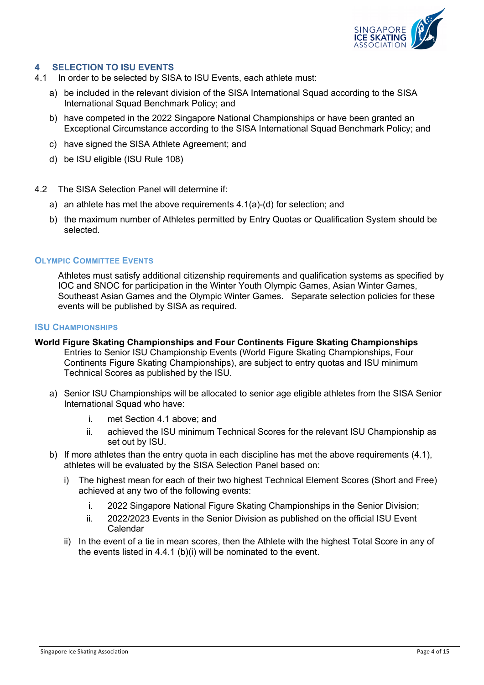

## **4 SELECTION TO ISU EVENTS**

- 4.1 In order to be selected by SISA to ISU Events, each athlete must:
	- a) be included in the relevant division of the SISA International Squad according to the SISA International Squad Benchmark Policy; and
	- b) have competed in the 2022 Singapore National Championships or have been granted an Exceptional Circumstance according to the SISA International Squad Benchmark Policy; and
	- c) have signed the SISA Athlete Agreement; and
	- d) be ISU eligible (ISU Rule 108)
- 4.2 The SISA Selection Panel will determine if:
	- a) an athlete has met the above requirements 4.1(a)-(d) for selection; and
	- b) the maximum number of Athletes permitted by Entry Quotas or Qualification System should be selected.

#### **OLYMPIC COMMITTEE EVENTS**

Athletes must satisfy additional citizenship requirements and qualification systems as specified by IOC and SNOC for participation in the Winter Youth Olympic Games, Asian Winter Games, Southeast Asian Games and the Olympic Winter Games. Separate selection policies for these events will be published by SISA as required.

#### **ISU CHAMPIONSHIPS**

- **World Figure Skating Championships and Four Continents Figure Skating Championships** Entries to Senior ISU Championship Events (World Figure Skating Championships, Four Continents Figure Skating Championships), are subject to entry quotas and ISU minimum Technical Scores as published by the ISU.
	- a) Senior ISU Championships will be allocated to senior age eligible athletes from the SISA Senior International Squad who have:
		- i. met Section 4.1 above; and
		- ii. achieved the ISU minimum Technical Scores for the relevant ISU Championship as set out by ISU.
	- b) If more athletes than the entry quota in each discipline has met the above requirements (4.1), athletes will be evaluated by the SISA Selection Panel based on:
		- i) The highest mean for each of their two highest Technical Element Scores (Short and Free) achieved at any two of the following events:
			- i. 2022 Singapore National Figure Skating Championships in the Senior Division;
			- ii. 2022/2023 Events in the Senior Division as published on the official ISU Event Calendar
		- ii) In the event of a tie in mean scores, then the Athlete with the highest Total Score in any of the events listed in 4.4.1 (b)(i) will be nominated to the event.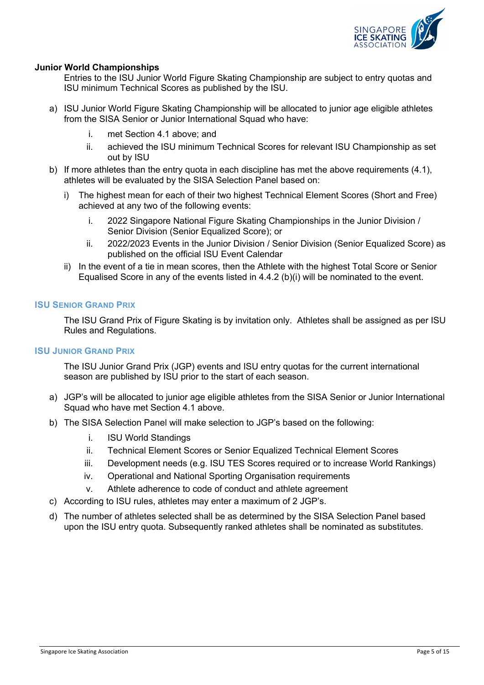

## **Junior World Championships**

Entries to the ISU Junior World Figure Skating Championship are subject to entry quotas and ISU minimum Technical Scores as published by the ISU.

- a) ISU Junior World Figure Skating Championship will be allocated to junior age eligible athletes from the SISA Senior or Junior International Squad who have:
	- i. met Section 4.1 above; and
	- ii. achieved the ISU minimum Technical Scores for relevant ISU Championship as set out by ISU
- b) If more athletes than the entry quota in each discipline has met the above requirements (4.1), athletes will be evaluated by the SISA Selection Panel based on:
	- i) The highest mean for each of their two highest Technical Element Scores (Short and Free) achieved at any two of the following events:
		- i. 2022 Singapore National Figure Skating Championships in the Junior Division / Senior Division (Senior Equalized Score); or
		- ii. 2022/2023 Events in the Junior Division / Senior Division (Senior Equalized Score) as published on the official ISU Event Calendar
	- ii) In the event of a tie in mean scores, then the Athlete with the highest Total Score or Senior Equalised Score in any of the events listed in 4.4.2 (b)(i) will be nominated to the event.

#### **ISU SENIOR GRAND PRIX**

The ISU Grand Prix of Figure Skating is by invitation only. Athletes shall be assigned as per ISU Rules and Regulations.

#### **ISU JUNIOR GRAND PRIX**

The ISU Junior Grand Prix (JGP) events and ISU entry quotas for the current international season are published by ISU prior to the start of each season.

- a) JGP's will be allocated to junior age eligible athletes from the SISA Senior or Junior International Squad who have met Section 4.1 above.
- b) The SISA Selection Panel will make selection to JGP's based on the following:
	- i. ISU World Standings
	- ii. Technical Element Scores or Senior Equalized Technical Element Scores
	- iii. Development needs (e.g. ISU TES Scores required or to increase World Rankings)
	- iv. Operational and National Sporting Organisation requirements
	- v. Athlete adherence to code of conduct and athlete agreement
- c) According to ISU rules, athletes may enter a maximum of 2 JGP's.
- d) The number of athletes selected shall be as determined by the SISA Selection Panel based upon the ISU entry quota. Subsequently ranked athletes shall be nominated as substitutes.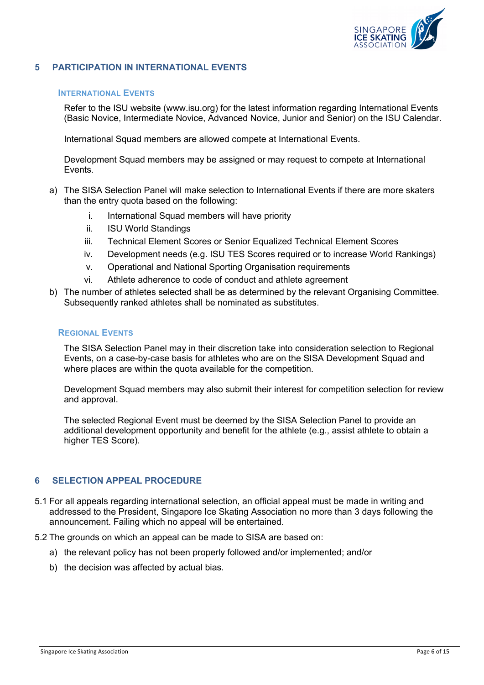

## **5 PARTICIPATION IN INTERNATIONAL EVENTS**

#### **INTERNATIONAL EVENTS**

Refer to the ISU website (www.isu.org) for the latest information regarding International Events (Basic Novice, Intermediate Novice, Advanced Novice, Junior and Senior) on the ISU Calendar.

International Squad members are allowed compete at International Events.

Development Squad members may be assigned or may request to compete at International Events.

- a) The SISA Selection Panel will make selection to International Events if there are more skaters than the entry quota based on the following:
	- i. International Squad members will have priority
	- ii. ISU World Standings
	- iii. Technical Element Scores or Senior Equalized Technical Element Scores
	- iv. Development needs (e.g. ISU TES Scores required or to increase World Rankings)
	- v. Operational and National Sporting Organisation requirements
	- vi. Athlete adherence to code of conduct and athlete agreement
- b) The number of athletes selected shall be as determined by the relevant Organising Committee. Subsequently ranked athletes shall be nominated as substitutes.

#### **REGIONAL EVENTS**

The SISA Selection Panel may in their discretion take into consideration selection to Regional Events, on a case-by-case basis for athletes who are on the SISA Development Squad and where places are within the quota available for the competition.

Development Squad members may also submit their interest for competition selection for review and approval.

The selected Regional Event must be deemed by the SISA Selection Panel to provide an additional development opportunity and benefit for the athlete (e.g., assist athlete to obtain a higher TES Score).

#### **6 SELECTION APPEAL PROCEDURE**

5.1 For all appeals regarding international selection, an official appeal must be made in writing and addressed to the President, Singapore Ice Skating Association no more than 3 days following the announcement. Failing which no appeal will be entertained.

5.2 The grounds on which an appeal can be made to SISA are based on:

- a) the relevant policy has not been properly followed and/or implemented; and/or
- b) the decision was affected by actual bias.